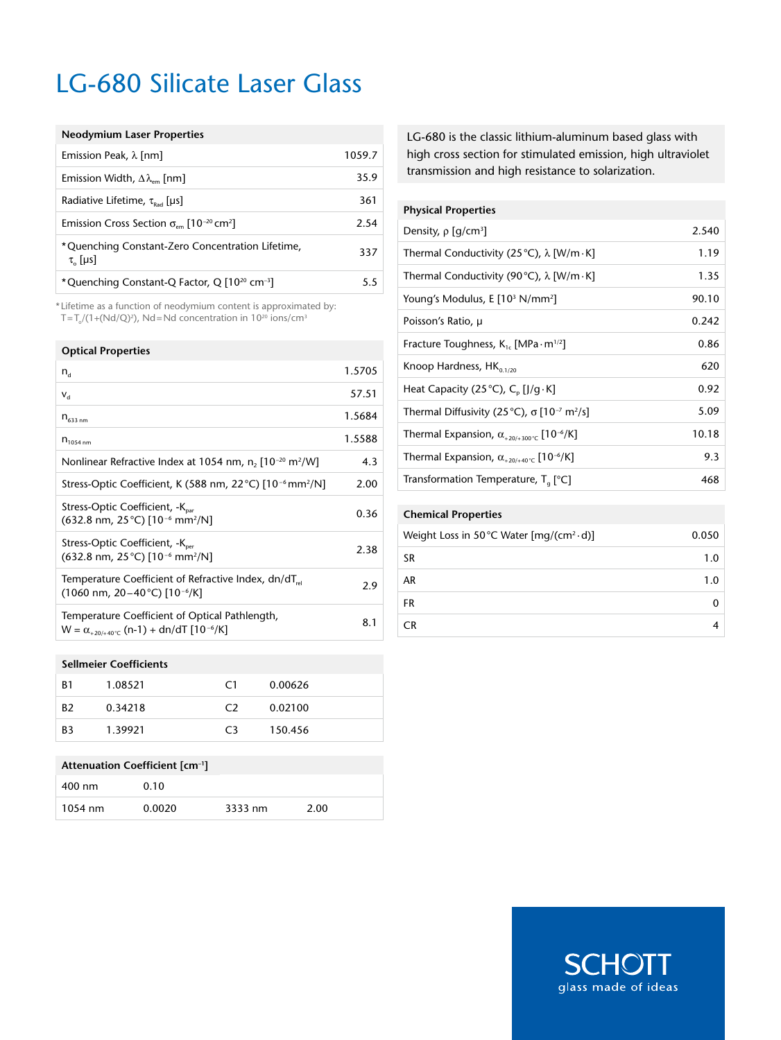# LG-680 Silicate Laser Glass

### **Neodymium Laser Properties**

| Emission Peak, $\lambda$ [nm]                                             | 1059.7 |
|---------------------------------------------------------------------------|--------|
| Emission Width, $\Delta\lambda_{\text{em}}$ [nm]                          | 35.9   |
| Radiative Lifetime, $\tau_{\text{bad}}$ [µs]                              | 361    |
| Emission Cross Section $\sigma_{em}$ [10 <sup>-20</sup> cm <sup>2</sup> ] | 2.54   |
| *Quenching Constant-Zero Concentration Lifetime,<br>$\tau_{0}$ [µs]       | 337    |
| *Quenching Constant-Q Factor, Q [10 <sup>20</sup> cm <sup>-3</sup> ]      | 55     |

\* Lifetime as a function of neodymium content is approximated by:  $T=T_o/(1+(Nd/Q)^2)$ , Nd=Nd concentration in  $10^{20}$  ions/cm<sup>3</sup>

#### **Optical Properties**

| $n_{\rm d}$                                                                                                                        | 1.5705 |
|------------------------------------------------------------------------------------------------------------------------------------|--------|
| $V_{\rm d}$                                                                                                                        | 57.51  |
| $n_{633,nm}$                                                                                                                       | 1.5684 |
| $n_{1054 \text{ nm}}$                                                                                                              | 1.5588 |
| Nonlinear Refractive Index at 1054 nm, n, $[10^{-20} \text{ m}^2/\text{W}]$                                                        | 4.3    |
| Stress-Optic Coefficient, K (588 nm, 22 °C) [10 <sup>-6</sup> mm <sup>2</sup> /N]                                                  | 2.00   |
| Stress-Optic Coefficient, -K <sub>par</sub><br>(632.8 nm, 25 °C) [10 <sup>-6</sup> mm <sup>2</sup> /N]                             | 0.36   |
| Stress-Optic Coefficient, -K <sub>ner</sub><br>$(632.8 \text{ nm}, 25 \degree C)$ [10 <sup>-6</sup> mm <sup>2</sup> /N]            | 2.38   |
| Temperature Coefficient of Refractive Index, dn/dT <sub>rel</sub><br>$(1060 \text{ nm}, 20 - 40 \degree \text{C})$ [10- $^{6}$ /K] | 2.9    |
| Temperature Coefficient of Optical Pathlength,<br>$W = \alpha_{+20/40\degree}$ (n-1) + dn/dT [10 <sup>-6</sup> /K]                 | 8.1    |

#### **Sellmeier Coefficients**

| <b>B1</b>      | 1.08521 | C1             | 0.00626 |
|----------------|---------|----------------|---------|
| B <sub>2</sub> | 0.34218 | C <sub>2</sub> | 0.02100 |
| B3             | 1.39921 | C3             | 150.456 |

| Attenuation Coefficient [cm <sup>-1</sup> ] |        |         |      |  |  |
|---------------------------------------------|--------|---------|------|--|--|
| 400 nm                                      | 0.10   |         |      |  |  |
| $1054$ nm                                   | 0.0020 | 3333 nm | 2.00 |  |  |

LG-680 is the classic lithium-aluminum based glass with high cross section for stimulated emission, high ultraviolet transmission and high resistance to solarization.

#### **Physical Properties**

| Density, $\rho$ [g/cm <sup>3</sup> ]                                       | 2.540 |
|----------------------------------------------------------------------------|-------|
| Thermal Conductivity (25 °C), $\lambda$ [W/m $\cdot$ K]                    | 1.19  |
| Thermal Conductivity (90 °C), $\lambda$ [W/m $\cdot$ K]                    | 1.35  |
| Young's Modulus, E [10 <sup>3</sup> N/mm <sup>2</sup> ]                    | 90.10 |
| Poisson's Ratio, µ                                                         | 0.242 |
| Fracture Toughness, $K_{1c}$ [MPa $\cdot$ m <sup>1/2</sup> ]               | 0.86  |
|                                                                            |       |
| Knoop Hardness, $HK_{0.1/20}$                                              | 620   |
| Heat Capacity (25 °C), $C_n$ [J/g $\cdot$ K]                               | 0.92  |
| Thermal Diffusivity (25 °C), $\sigma$ [10 <sup>-7</sup> m <sup>2</sup> /s] | 5.09  |
| Thermal Expansion, $\alpha_{+20/+300\degree}$ [10 <sup>-6</sup> /K]        | 10.18 |
| Thermal Expansion, $\alpha_{+20/+40\degree}$ [10 <sup>-6</sup> /K]         | 9.3   |

### **Chemical Properties**

| Weight Loss in 50 °C Water $[mq/(cm2·d)]$ | 0.050 |
|-------------------------------------------|-------|
| SR.                                       | 1.0   |
| AR                                        | 1.0   |
| FR                                        |       |
| <b>CR</b>                                 |       |